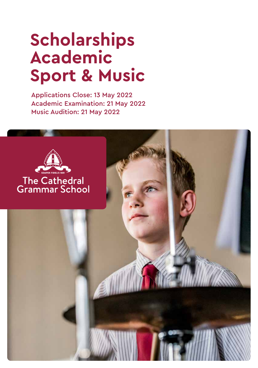# **Scholarships Academic Sport & Music**

Applications Close: 13 May 2022 Academic Examination: 21 May 2022 Music Audition: 21 May 2022

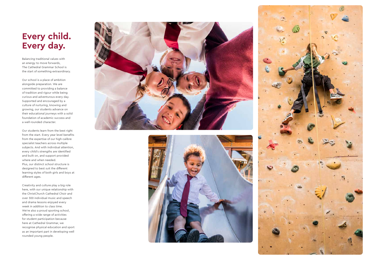# **Every child. Every day.**

Balancing traditional values with an energy to move forwards, The Cathedral Grammar School is the start of something extraordinary.

Our school is a place of ambition alongside preparation. We are committed to providing a balance of tradition and rigour while being curious and adventurous every day. Supported and encouraged by a culture of nurturing, knowing and growing, our students advance on their educational journeys with a solid foundation of academic success and a well-rounded character.

Our students learn from the best right from the start. Every year level benefits from the expertise of our high-calibre specialist teachers across multiple subjects. And with individual attention, every child's strengths are identified and built on, and support provided where and when needed. Plus, our distinct school structure is designed to best suit the different learning styles of both girls and boys at different ages.

Creativity and culture play a big role here, with our unique relationship with the ChristChurch Cathedral Choir and over 300 individual music and speech and drama lessons enjoyed every week in addition to class time. We're also a proud sporting school, offering a wide range of activities for student participation because here at Cathedral Grammar, we recognise physical education and sport as an important part in developing well rounded young people.





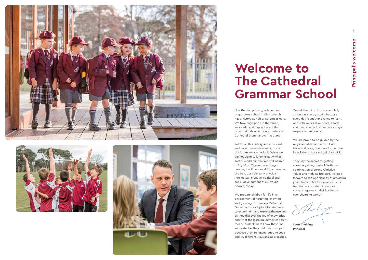





5

# **Welcome to The Cathedral Grammar School**

No other full primary, independent preparatory school in Christchurch has a history as rich or as long as ours. We take huge pride in the varied, successful and happy lives of the boys and girls who have experienced Cathedral Grammar over that time.

Yet for all this history and individual and collective achievement, it is to the future we always look. While we cannot claim to know exactly what sort of world our children will inhabit in 25, 50 or 75 years, one thing is certain; it will be a world that requires the best possible early physical, intellectual, creative, spiritual and social development of our young people, today.

We tell them it's ok to try, and fail, as long as you try again, because every day is another chance to learn. And with values at our core, hearts and minds come first, and we always respect others' views.

 $7k_1$ **Scott Thelning**

We prepare children for life in an environment of nurturing, knowing and growing. This means Cathedral Grammar is a safe place for students to experiment and express themselves as they discover the joy of knowledge and what the learning journey can truly mean. Students here know they'll be supported as they find their own path because they are encouraged to seek and try different ways and approaches.

We are proud to be guided by the Anglican values and ethos, Faith, Hope and Love, that have formed the foundations of our school since 1881.

They say the secret to getting ahead is getting started. With our combination of strong Christian values and high-calibre staff, we look forward to the opportunity of providing your child a school experience rich in tradition and modern in outlook - preparing every individual for an ever changing world.

**Principal**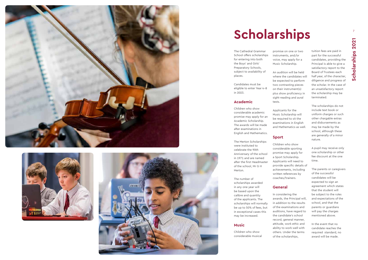The Cathedral Grammar School offers scholarships for entering into both the Boys' and Girls' Preparatory Schools, subject to availability of places.

Candidates must be eligible to enter Year 4-8 in 2023.

## **Academic**

Children who show considerable academic promise may apply for an Academic Scholarship. The awards will be made after examinations in English and Mathematics.

The Merton Scholarships were instituted to celebrate the 90th Anniversary of the school in 1971 and are named after the first Headmaster of the school, Mr G H Merton.

The number of scholarships awarded in any one year will be based upon the calibre and quantity of the applicants. The scholarships will normally be up to 50% of fees, but in exceptional cases this may be increased.

## **Music**

Children who show considerable musical promise on one or two instruments, and/or voice, may apply for a Music Scholarship.

An audition will be held where the candidates will be expected to perform two contrasting pieces on their instrument(s) plus show proficiency in

sight-reading and aural tests. Applicants for the Music Scholarship will be required to sit the examinations in English and Mathematics as well.

## **Sport**

Children who show considerable sporting promise may apply for a Sport Scholarship. Applicants will need to provide specific details of achievements, including written references by coaches/trainers.

## **General**

In considering the awards, the Principal will, in addition to the results of the examinations and auditions, have regard to the candidate's school record, general manner, attitude, work ethic and ability to work well with others. Under the terms of the scholarships,

tuition fees are paid in part for the successful candidates, providing the Principal is able to give a satisfactory report to the Board of Trustees each half year, of the character, diligence and progress of the scholar. In the case of an unsatisfactory report the scholarship may be terminated.

The scholarships do not include text book or uniform charges or such other chargable extras and disbursements as may be made by the school, although these are generally of a minor nature.

A pupil may receive only one scholarship or other fee discount at the one time.

The parents or caregivers of the successful candidates will be expected to sign an agreement which states that the student will be subject to the rules and expectations of the school, and that the parents or guardians will pay the charges mentioned above.

In the event that no candidate reaches the required standard, no award will be made.







# **Scholarships**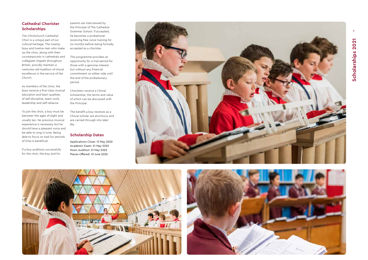9

# **Cathedral Chorister Scholarships**

The Christchurch Cathedral Choir is a unique part of our cultural heritage. The twenty boys and twelve men who make up the choir, along with their counterpounts in cathedrals and collegiate chapels throughout Britain, proudly maintain a centuries-old tradition of choral excellence in the service of the Church.

As members of the choir, the boys receive a first-class musical education and learn qualities of self-discipline, team work, leadership and self-reliance.

To join the choir, a boy must be between the ages of eight and usually ten. No previous musical experience is necessary but he should have a pleasant voice and be able to sing in tune. Being able to focus on task for periods of time is beneficial.

# Scholarships 2021 **Scholarships 2021**

If a boy auditions successfully for the choir, the boy and his

parents are interviewed by the Principal of The Cathedral Grammar School. If accepted, he becomes a probationer receiving free voice training for six months before being formally accepted as a chorister.

This programme provides an opportunity for a trial period for those with a genuine interest but without any financial commitment on either side until the end of the probationary period.

Choristers receive a Choral Scholarship, the terms and value of which can be discussed with the Principal.

The benefit a boy receives as a Choral scholar are enormous and are carried through into later life.

# **Scholarship Dates**

Applications Close: 13 May 2022 Academic Exam: 21 May 2022 Music Audition: 21 May 2022 Places Offered: 10 June 2022